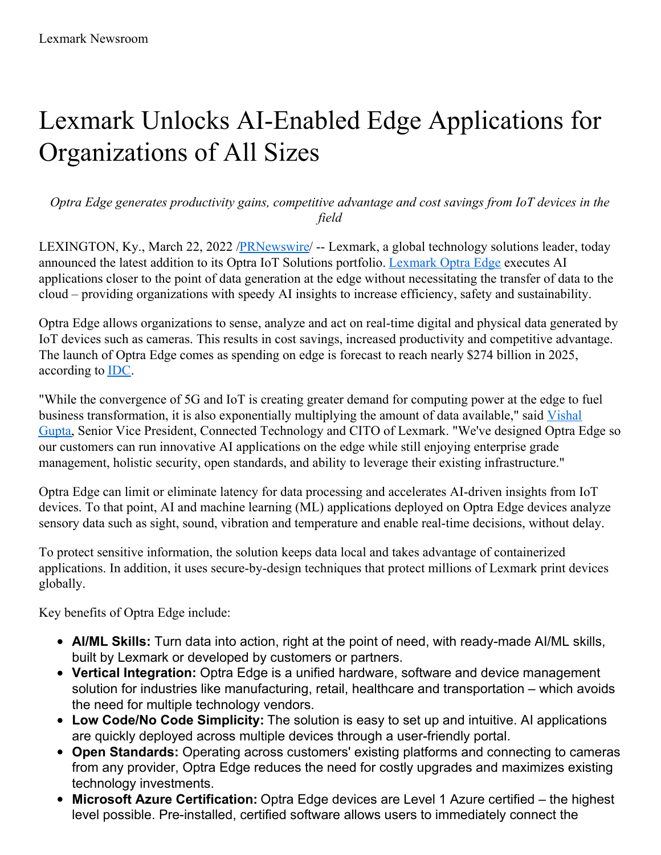## Lexmark Unlocks AI-Enabled Edge Applications for Organizations of All Sizes

*Optra Edge generates productivity gains, competitive advantage and cost savings from IoT devices in the field*

LEXINGTON, Ky., March 22, 2022 [/PRNewswire](http://www.prnewswire.com/)/ -- Lexmark, a global technology solutions leader, today announced the latest addition to its Optra IoT Solutions portfolio. [Lexmark](https://c212.net/c/link/?t=0&l=en&o=3480367-1&h=2718076543&u=https%3A%2F%2Fwww.lexmark.com%2Fen_us%2Fsolutions%2Foptra-iot-solutions%2Foptra-edge.html&a=Lexmark+Optra+Edge) Optra Edge executes AI applications closer to the point of data generation at the edge without necessitating the transfer of data to the cloud – providing organizations with speedy AI insights to increase efficiency, safety and sustainability.

Optra Edge allows organizations to sense, analyze and act on real-time digital and physical data generated by IoT devices such as cameras. This results in cost savings, increased productivity and competitive advantage. The launch of Optra Edge comes as spending on edge is forecast to reach nearly \$274 billion in 2025, according to [IDC](https://c212.net/c/link/?t=0&l=en&o=3480367-1&h=2471354205&u=https%3A%2F%2Fwww.idc.com%2Fgetdoc.jsp%3FcontainerId%3DprUS48772522&a=IDC).

"While the convergence of 5G and IoT is creating greater demand for computing power at the edge to fuel business [transformation,](https://c212.net/c/link/?t=0&l=en&o=3480367-1&h=2592712137&u=https%3A%2F%2Fwww.lexmark.com%2Fen_us%2Fabout%2Fcompany%2Fexecutive-profiles%2Fvishal-gupta.html&a=Vishal+Gupta) it is also exponentially multiplying the amount of data available," said Vishal Gupta, Senior Vice President, Connected Technology and CITO of Lexmark. "We've designed Optra Edge so our customers can run innovative AI applications on the edge while still enjoying enterprise grade management, holistic security, open standards, and ability to leverage their existing infrastructure."

Optra Edge can limit or eliminate latency for data processing and accelerates AI-driven insights from IoT devices. To that point, AI and machine learning (ML) applications deployed on Optra Edge devices analyze sensory data such as sight, sound, vibration and temperature and enable real-time decisions, without delay.

To protect sensitive information, the solution keeps data local and takes advantage of containerized applications. In addition, it uses secure-by-design techniques that protect millions of Lexmark print devices globally.

Key benefits of Optra Edge include:

- **AI/ML Skills:** Turn data into action, right at the point of need, with ready-made AI/ML skills, built by Lexmark or developed by customers or partners.
- **Vertical Integration:** Optra Edge is a unified hardware, software and device management solution for industries like manufacturing, retail, healthcare and transportation – which avoids the need for multiple technology vendors.
- **Low Code/No Code Simplicity:** The solution is easy to set up and intuitive. AI applications are quickly deployed across multiple devices through a user-friendly portal.
- **Open Standards:** Operating across customers' existing platforms and connecting to cameras from any provider, Optra Edge reduces the need for costly upgrades and maximizes existing technology investments.
- **Microsoft Azure Certification:** Optra Edge devices are Level 1 Azure certified the highest level possible. Pre-installed, certified software allows users to immediately connect the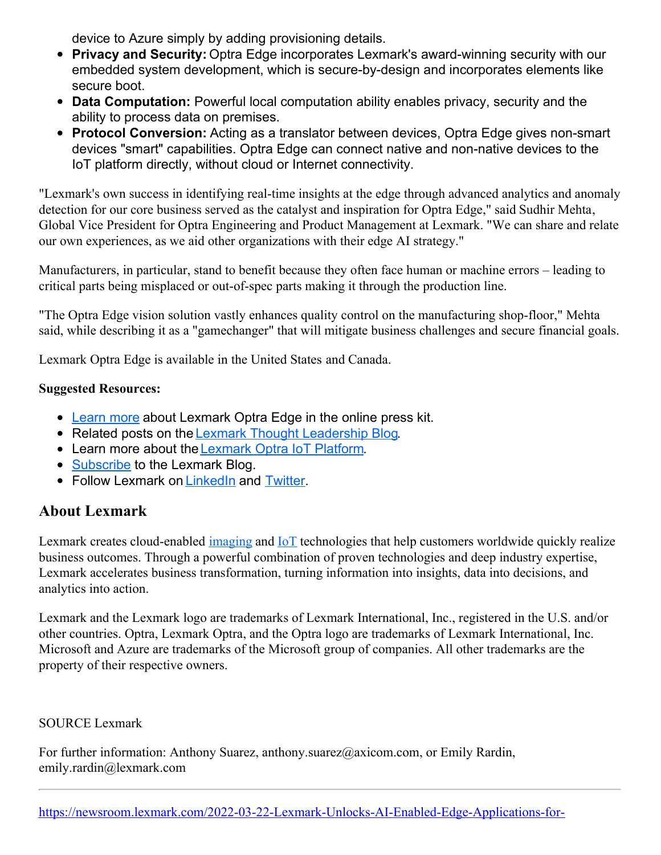device to Azure simply by adding provisioning details.

- **Privacy and Security:** Optra Edge incorporates Lexmark's award-winning security with our embedded system development, which is secure-by-design and incorporates elements like secure boot.
- **Data Computation:** Powerful local computation ability enables privacy, security and the ability to process data on premises.
- **Protocol Conversion:** Acting as a translator between devices, Optra Edge gives non-smart devices "smart" capabilities. Optra Edge can connect native and non-native devices to the IoT platform directly, without cloud or Internet connectivity.

"Lexmark's own success in identifying real-time insights at the edge through advanced analytics and anomaly detection for our core business served as the catalyst and inspiration for Optra Edge," said Sudhir Mehta, Global Vice President for Optra Engineering and Product Management at Lexmark. "We can share and relate our own experiences, as we aid other organizations with their edge AI strategy."

Manufacturers, in particular, stand to benefit because they often face human or machine errors – leading to critical parts being misplaced or out-of-spec parts making it through the production line.

"The Optra Edge vision solution vastly enhances quality control on the manufacturing shop-floor," Mehta said, while describing it as a "gamechanger" that will mitigate business challenges and secure financial goals.

Lexmark Optra Edge is available in the United States and Canada.

## **Suggested Resources:**

- [Learn](https://c212.net/c/link/?t=0&l=en&o=3480367-1&h=46850663&u=https%3A%2F%2Fnewsroom.lexmark.com%2Ffeatured-announcements-lexmarkiotoptraedge&a=Learn+more) more about Lexmark Optra Edge in the online press kit.
- Related posts on the Lexmark Thought [Leadership](https://c212.net/c/link/?t=0&l=en&o=3480367-1&h=4139213910&u=https%3A%2F%2Fwww.lexmark.com%2Fen_us%2Flexmark-blog%2F2022%2Funlocking-the-value-of-iot-data-at-the-edge.html&a=Lexmark+Thought+Leadership+Blog) Blog.
- Learn more about the[Lexmark](https://c212.net/c/link/?t=0&l=en&o=3480367-1&h=716934546&u=https%3A%2F%2Fwww.lexmark.com%2Fen_us%2Fsolutions%2Foptra-iot-solutions%2Foptra-edge.html&a=Lexmark+Optra+IoT+Platform) Optra IoT Platform.
- [Subscribe](https://c212.net/c/link/?t=0&l=en&o=3480367-1&h=3243653893&u=https%3A%2F%2Fwww.lexmark.com%2Fen_us%2Flexmark-blog.html&a=Subscribe) to the Lexmark Blog.
- Follow Lexmark on [LinkedIn](https://c212.net/c/link/?t=0&l=en&o=3480367-1&h=1686860662&u=https%3A%2F%2Fwww.linkedin.com%2Fcompany%2Flexmark&a=LinkedIn) and [Twitter](https://c212.net/c/link/?t=0&l=en&o=3480367-1&h=3068792661&u=https%3A%2F%2Ftwitter.com%2Flexmark&a=Twitter).

## **About Lexmark**

Lexmark creates cloud-enabled [imaging](https://c212.net/c/link/?t=0&l=en&o=3480367-1&h=2582791790&u=https%3A%2F%2Furldefense.com%2Fv3%2F__https%3A%2Fwww.lexmark.com%2Fen_us%2Fservices%2Fmanaged-print-services.html__%3B!!Gajz09w!VagThlkdEuFRIEvYlduT3tij-myfR1evsPrPZR-npyFG92uc-CS5SyPK_KHYNuH3cKNSLw%24&a=imaging) and [IoT](https://c212.net/c/link/?t=0&l=en&o=3480367-1&h=3387530580&u=https%3A%2F%2Furldefense.com%2Fv3%2F__https%3A%2Fwww.lexmark.com%2Fen_us%2Fsolutions%2Foptra-iot-platform.html__%3B!!Gajz09w!VagThlkdEuFRIEvYlduT3tij-myfR1evsPrPZR-npyFG92uc-CS5SyPK_KHYNuGQBmZEig%24&a=IoT) technologies that help customers worldwide quickly realize business outcomes. Through a powerful combination of proven technologies and deep industry expertise, Lexmark accelerates business transformation, turning information into insights, data into decisions, and analytics into action.

Lexmark and the Lexmark logo are trademarks of Lexmark International, Inc., registered in the U.S. and/or other countries. Optra, Lexmark Optra, and the Optra logo are trademarks of Lexmark International, Inc. Microsoft and Azure are trademarks of the Microsoft group of companies. All other trademarks are the property of their respective owners.

## SOURCE Lexmark

For further information: Anthony Suarez, anthony.suarez@axicom.com, or Emily Rardin, emily.rardin@lexmark.com